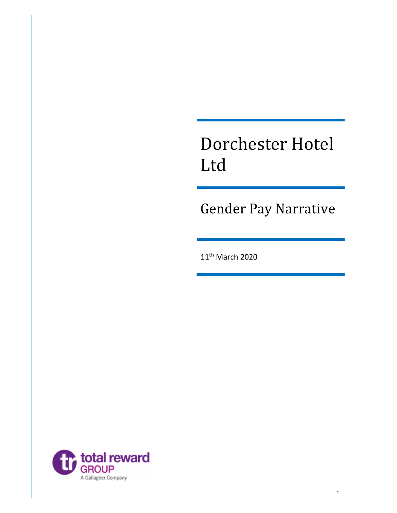# Dorchester Hotel Ltd

Gender Pay Narrative

11th March 2020

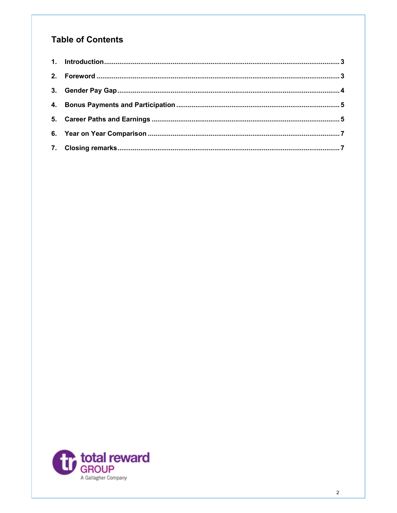# **Table of Contents**

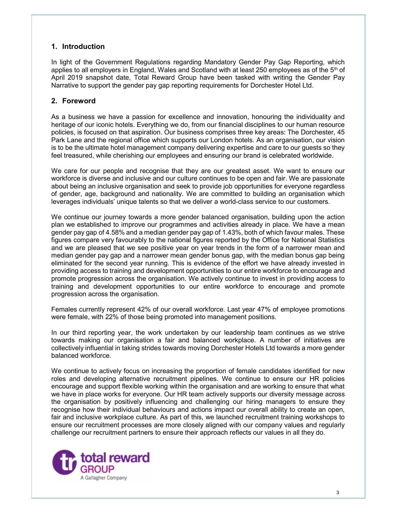### 1. Introduction

In light of the Government Regulations regarding Mandatory Gender Pay Gap Reporting, which applies to all employers in England, Wales and Scotland with at least 250 employees as of the  $5<sup>th</sup>$  of April 2019 snapshot date, Total Reward Group have been tasked with writing the Gender Pay Narrative to support the gender pay gap reporting requirements for Dorchester Hotel Ltd.

### 2. Foreword

As a business we have a passion for excellence and innovation, honouring the individuality and heritage of our iconic hotels. Everything we do, from our financial disciplines to our human resource policies, is focused on that aspiration. Our business comprises three key areas: The Dorchester, 45 Park Lane and the regional office which supports our London hotels. As an organisation, our vision is to be the ultimate hotel management company delivering expertise and care to our guests so they feel treasured, while cherishing our employees and ensuring our brand is celebrated worldwide.

We care for our people and recognise that they are our greatest asset. We want to ensure our workforce is diverse and inclusive and our culture continues to be open and fair. We are passionate about being an inclusive organisation and seek to provide job opportunities for everyone regardless of gender, age, background and nationality. We are committed to building an organisation which leverages individuals' unique talents so that we deliver a world-class service to our customers.

We continue our journey towards a more gender balanced organisation, building upon the action plan we established to improve our programmes and activities already in place. We have a mean gender pay gap of 4.58% and a median gender pay gap of 1.43%, both of which favour males. These figures compare very favourably to the national figures reported by the Office for National Statistics and we are pleased that we see positive year on year trends in the form of a narrower mean and median gender pay gap and a narrower mean gender bonus gap, with the median bonus gap being eliminated for the second year running. This is evidence of the effort we have already invested in providing access to training and development opportunities to our entire workforce to encourage and promote progression across the organisation. We actively continue to invest in providing access to training and development opportunities to our entire workforce to encourage and promote progression across the organisation.

Females currently represent 42% of our overall workforce. Last year 47% of employee promotions were female, with 22% of those being promoted into management positions.

In our third reporting year, the work undertaken by our leadership team continues as we strive towards making our organisation a fair and balanced workplace. A number of initiatives are collectively influential in taking strides towards moving Dorchester Hotels Ltd towards a more gender balanced workforce.

We continue to actively focus on increasing the proportion of female candidates identified for new roles and developing alternative recruitment pipelines. We continue to ensure our HR policies encourage and support flexible working within the organisation and are working to ensure that what we have in place works for everyone. Our HR team actively supports our diversity message across the organisation by positively influencing and challenging our hiring managers to ensure they recognise how their individual behaviours and actions impact our overall ability to create an open, fair and inclusive workplace culture. As part of this, we launched recruitment training workshops to ensure our recruitment processes are more closely aligned with our company values and regularly challenge our recruitment partners to ensure their approach reflects our values in all they do.

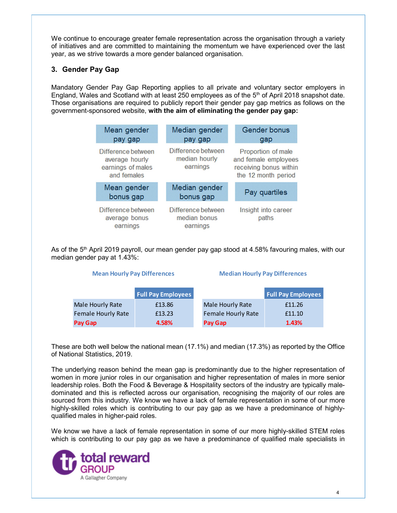We continue to encourage greater female representation across the organisation through a variety of initiatives and are committed to maintaining the momentum we have experienced over the last year, as we strive towards a more gender balanced organisation.

### 3. Gender Pay Gap

Mandatory Gender Pay Gap Reporting applies to all private and voluntary sector employers in England, Wales and Scotland with at least 250 employees as of the  $5<sup>th</sup>$  of April 2018 snapshot date. Those organisations are required to publicly report their gender pay gap metrics as follows on the government-sponsored website, with the aim of eliminating the gender pay gap:

|         | Mean gender<br>pay gap                                                                                                                                                                                      |                 |                           | Median gender<br>pay gap                        |                                      | Gender bonus<br>gap                                                                         |
|---------|-------------------------------------------------------------------------------------------------------------------------------------------------------------------------------------------------------------|-----------------|---------------------------|-------------------------------------------------|--------------------------------------|---------------------------------------------------------------------------------------------|
|         | Difference between<br>average hourly<br>earnings of males<br>and females                                                                                                                                    |                 |                           | Difference between<br>median hourly<br>earnings |                                      | Proportion of male<br>and female employees<br>receiving bonus within<br>the 12 month period |
|         | Mean gender<br>bonus gap                                                                                                                                                                                    |                 |                           | Median gender<br>bonus gap                      |                                      | Pay quartiles                                                                               |
|         | Difference between<br>Difference between<br>median bonus<br>average bonus<br>earnings<br>earnings<br>e 5 <sup>th</sup> April 2019 payroll, our mean gender pay gap stood at 4.58% favouring males, with our |                 |                           |                                                 | Insight into career<br>paths         |                                                                                             |
|         | gender pay at 1.43%:<br><b>Mean Hourly Pay Differences</b>                                                                                                                                                  |                 |                           |                                                 | <b>Median Hourly Pay Differences</b> |                                                                                             |
|         |                                                                                                                                                                                                             |                 |                           |                                                 |                                      |                                                                                             |
|         |                                                                                                                                                                                                             |                 |                           |                                                 |                                      |                                                                                             |
|         |                                                                                                                                                                                                             |                 | <b>Full Pay Employees</b> |                                                 |                                      | <b>Full Pay Employees</b>                                                                   |
|         | Male Hourly Rate                                                                                                                                                                                            | £13.86          |                           | Male Hourly Rate                                |                                      | £11.26                                                                                      |
| Pay Gap | <b>Female Hourly Rate</b>                                                                                                                                                                                   | £13.23<br>4.58% |                           | Pay Gap                                         | Female Hourly Rate                   | £11.10<br>1.43%                                                                             |

As of the 5<sup>th</sup> April 2019 payroll, our mean gender pay gap stood at 4.58% favouring males, with our median gender pay at 1.43%:

|                           | <b>Full Pay Employees</b> |                           | <b>Full Pay Employees</b> |
|---------------------------|---------------------------|---------------------------|---------------------------|
| Male Hourly Rate          | £13.86                    | Male Hourly Rate          | £11.26                    |
| <b>Female Hourly Rate</b> | £13.23                    | <b>Female Hourly Rate</b> | £11.10                    |
| Pay Gap                   | 4.58%                     | Pay Gap                   | 1.43%                     |

These are both well below the national mean (17.1%) and median (17.3%) as reported by the Office of National Statistics, 2019.

The underlying reason behind the mean gap is predominantly due to the higher representation of women in more junior roles in our organisation and higher representation of males in more senior leadership roles. Both the Food & Beverage & Hospitality sectors of the industry are typically maledominated and this is reflected across our organisation, recognising the majority of our roles are sourced from this industry. We know we have a lack of female representation in some of our more highly-skilled roles which is contributing to our pay gap as we have a predominance of highlyqualified males in higher-paid roles.

We know we have a lack of female representation in some of our more highly-skilled STEM roles which is contributing to our pay gap as we have a predominance of qualified male specialists in

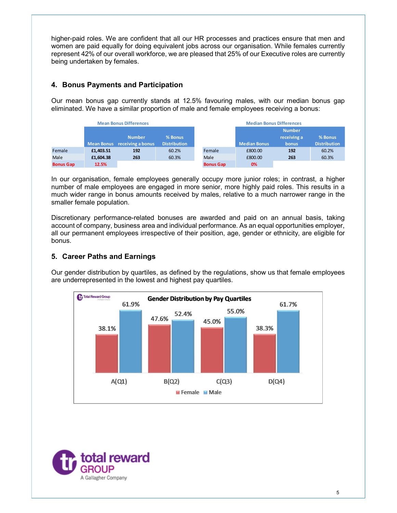# 4. Bonus Payments and Participation

|                  |                                     |                               |                     |                  | higher-paid roles. We are confident that all our HR processes and practices ensure that men and                                                                                                   |               |                     |
|------------------|-------------------------------------|-------------------------------|---------------------|------------------|---------------------------------------------------------------------------------------------------------------------------------------------------------------------------------------------------|---------------|---------------------|
|                  |                                     |                               |                     |                  | women are paid equally for doing equivalent jobs across our organisation. While females currently                                                                                                 |               |                     |
|                  |                                     |                               |                     |                  | represent 42% of our overall workforce, we are pleased that 25% of our Executive roles are currently                                                                                              |               |                     |
|                  | being undertaken by females.        |                               |                     |                  |                                                                                                                                                                                                   |               |                     |
|                  |                                     |                               |                     |                  |                                                                                                                                                                                                   |               |                     |
|                  |                                     |                               |                     |                  |                                                                                                                                                                                                   |               |                     |
|                  | 4. Bonus Payments and Participation |                               |                     |                  |                                                                                                                                                                                                   |               |                     |
|                  |                                     |                               |                     |                  | Our mean bonus gap currently stands at 12.5% favouring males, with our median bonus gap                                                                                                           |               |                     |
|                  |                                     |                               |                     |                  |                                                                                                                                                                                                   |               |                     |
|                  |                                     |                               |                     |                  | eliminated. We have a similar proportion of male and female employees receiving a bonus:                                                                                                          |               |                     |
|                  |                                     |                               |                     |                  |                                                                                                                                                                                                   |               |                     |
|                  |                                     | <b>Mean Bonus Differences</b> |                     |                  | <b>Median Bonus Differences</b>                                                                                                                                                                   | <b>Number</b> |                     |
|                  |                                     | <b>Number</b>                 | % Bonus             |                  |                                                                                                                                                                                                   | receiving a   | % Bonus             |
|                  |                                     | Mean Bonus receiving a bonus  | <b>Distribution</b> |                  | <b>Median Bonus</b>                                                                                                                                                                               | bonus         | <b>Distribution</b> |
| Female           | £1,403.51                           | 192                           | 60.2%               | Female           | £800.00                                                                                                                                                                                           | 192           | 60.2%               |
| Male             | £1,604.38                           | 263                           | 60.3%               | Male             | £800.00                                                                                                                                                                                           | 263           | 60.3%               |
| <b>Bonus Gap</b> | 12.5%                               |                               |                     | <b>Bonus Gap</b> | 0%                                                                                                                                                                                                |               |                     |
|                  |                                     |                               |                     |                  |                                                                                                                                                                                                   |               |                     |
|                  |                                     |                               |                     |                  | In our organisation, female employees generally occupy more junior roles; in contrast, a higher<br>number of male employees are engaged in more senior, more highly paid roles. This results in a |               |                     |
|                  | smaller female population.          |                               |                     |                  | much wider range in bonus amounts received by males, relative to a much narrower range in the                                                                                                     |               |                     |

Discretionary performance-related bonuses are awarded and paid on an annual basis, taking account of company, business area and individual performance. As an equal opportunities employer, all our permanent employees irrespective of their position, age, gender or ethnicity, are eligible for bonus.

# 5. Career Paths and Earnings

Our gender distribution by quartiles, as defined by the regulations, show us that female employees are underrepresented in the lowest and highest pay quartiles.



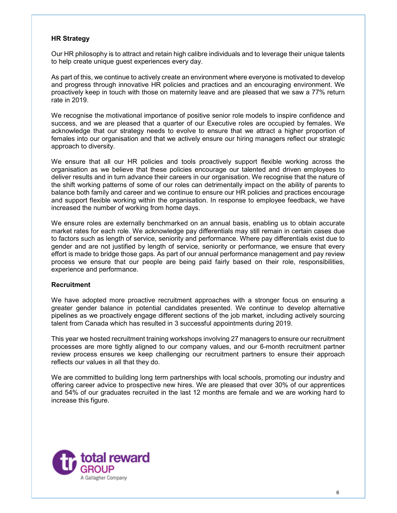#### HR Strategy

Our HR philosophy is to attract and retain high calibre individuals and to leverage their unique talents to help create unique guest experiences every day.

As part of this, we continue to actively create an environment where everyone is motivated to develop and progress through innovative HR policies and practices and an encouraging environment. We proactively keep in touch with those on maternity leave and are pleased that we saw a 77% return rate in 2019.

We recognise the motivational importance of positive senior role models to inspire confidence and success, and we are pleased that a quarter of our Executive roles are occupied by females. We acknowledge that our strategy needs to evolve to ensure that we attract a higher proportion of females into our organisation and that we actively ensure our hiring managers reflect our strategic approach to diversity.

We ensure that all our HR policies and tools proactively support flexible working across the organisation as we believe that these policies encourage our talented and driven employees to deliver results and in turn advance their careers in our organisation. We recognise that the nature of the shift working patterns of some of our roles can detrimentally impact on the ability of parents to balance both family and career and we continue to ensure our HR policies and practices encourage and support flexible working within the organisation. In response to employee feedback, we have increased the number of working from home days.

We ensure roles are externally benchmarked on an annual basis, enabling us to obtain accurate market rates for each role. We acknowledge pay differentials may still remain in certain cases due to factors such as length of service, seniority and performance. Where pay differentials exist due to gender and are not justified by length of service, seniority or performance, we ensure that every effort is made to bridge those gaps. As part of our annual performance management and pay review process we ensure that our people are being paid fairly based on their role, responsibilities, experience and performance.

#### Recruitment

We have adopted more proactive recruitment approaches with a stronger focus on ensuring a greater gender balance in potential candidates presented. We continue to develop alternative pipelines as we proactively engage different sections of the job market, including actively sourcing talent from Canada which has resulted in 3 successful appointments during 2019.

This year we hosted recruitment training workshops involving 27 managers to ensure our recruitment processes are more tightly aligned to our company values, and our 6-month recruitment partner review process ensures we keep challenging our recruitment partners to ensure their approach reflects our values in all that they do.

We are committed to building long term partnerships with local schools, promoting our industry and offering career advice to prospective new hires. We are pleased that over 30% of our apprentices and 54% of our graduates recruited in the last 12 months are female and we are working hard to increase this figure.

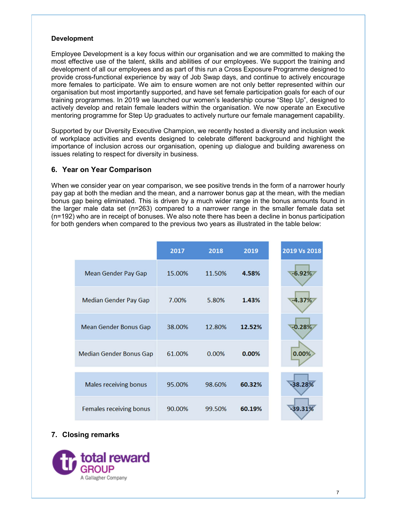#### Development

Employee Development is a key focus within our organisation and we are committed to making the most effective use of the talent, skills and abilities of our employees. We support the training and development of all our employees and as part of this run a Cross Exposure Programme designed to provide cross-functional experience by way of Job Swap days, and continue to actively encourage more females to participate. We aim to ensure women are not only better represented within our organisation but most importantly supported, and have set female participation goals for each of our training programmes. In 2019 we launched our women's leadership course "Step Up", designed to actively develop and retain female leaders within the organisation. We now operate an Executive mentoring programme for Step Up graduates to actively nurture our female management capability.

Supported by our Diversity Executive Champion, we recently hosted a diversity and inclusion week of workplace activities and events designed to celebrate different background and highlight the importance of inclusion across our organisation, opening up dialogue and building awareness on issues relating to respect for diversity in business.

#### 6. Year on Year Comparison

When we consider year on year comparison, we see positive trends in the form of a narrower hourly pay gap at both the median and the mean, and a narrower bonus gap at the mean, with the median bonus gap being eliminated. This is driven by a much wider range in the bonus amounts found in the larger male data set (n=263) compared to a narrower range in the smaller female data set (n=192) who are in receipt of bonuses. We also note there has been a decline in bonus participation for both genders when compared to the previous two years as illustrated in the table below:

|                                | 2017   | 2018   | 2019   | 2019 Vs 2018 |
|--------------------------------|--------|--------|--------|--------------|
| <b>Mean Gender Pay Gap</b>     | 15.00% | 11.50% | 4.58%  | $-6.92%$     |
| <b>Median Gender Pay Gap</b>   | 7.00%  | 5.80%  | 1.43%  | $-4.37%$     |
| <b>Mean Gender Bonus Gap</b>   | 38.00% | 12.80% | 12.52% | $-0.28%$     |
| <b>Median Gender Bonus Gap</b> | 61.00% | 0.00%  | 0.00%  | 0.00%        |
| <b>Males receiving bonus</b>   | 95.00% | 98.60% | 60.32% | 38.28%       |
| <b>Females receiving bonus</b> | 90.00% | 99.50% | 60.19% | 39.31%       |

# 7. Closing remarks